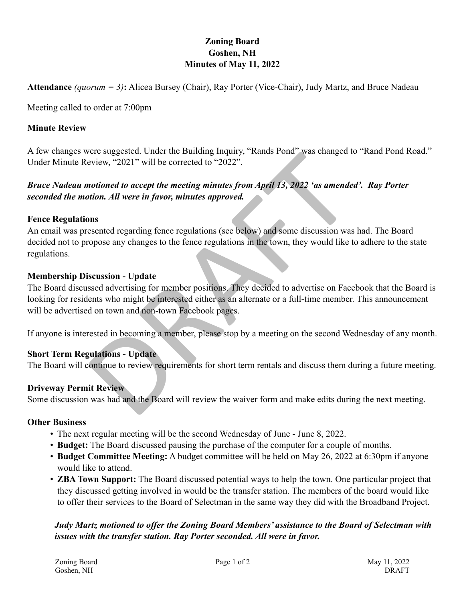# **Zoning Board Goshen, NH Minutes of May 11, 2022**

**Attendance** *(quorum = 3)* **:** Alicea Bursey (Chair), Ray Porter (Vice-Chair), Judy Martz, and Bruce Nadeau

Meeting called to order at 7:00pm

### **Minute Review**

A few changes were suggested. Under the Building Inquiry, "Rands Pond" was changed to "Rand Pond Road." Under Minute Review, "2021" will be corrected to "2022".

# *Bruce Nadeau motioned to accept the meeting minutes from April 13, 2022 'as amended'. Ray Porter seconded the motion. All were in favor, minutes approved.*

### **Fence Regulations**

or example and the bullet in the bullet of the value of the value of the value of the value of the value of the meeting minutes from April 13, 2022 'as amended to accept the meeting minutes from April 13, 2022 'as amended An email was presented regarding fence regulations (see below) and some discussion was had. The Board decided not to propose any changes to the fence regulations in the town, they would like to adhere to the state regulations.

### **Membership Discussion - Update**

The Board discussed advertising for member positions. They decided to advertise on Facebook that the Board is looking for residents who might be interested either as an alternate or a full-time member. This announcement will be advertised on town and non-town Facebook pages.

If anyone is interested in becoming a member, please stop by a meeting on the second Wednesday of any month.

# **Short Term Regulations - Update**

The Board will continue to review requirements for short term rentals and discuss them during a future meeting.

# **Driveway Permit Review**

Some discussion was had and the Board will review the waiver form and make edits during the next meeting.

### **Other Business**

- 
- The next regular meeting will be the second Wednesday of June June 8, 2022.<br>• Budget: The Board discussed pausing the purchase of the computer for a couple of months.<br>• Budget Committee Meeting: A budget committee will
- would like to attend.
- **ZBA Town Support:** The Board discussed potential ways to help the town. One particular project that they discussed getting involved in would be the transfer station. The members of the board would like to offer their services to the Board of Selectman in the same way they did with the Broadband Project.

# *Judy Martz motioned to offer the Zoning Board Members' assistance to the Board of Selectman with issues with the transfer station. Ray Porter seconded. All were in favor.*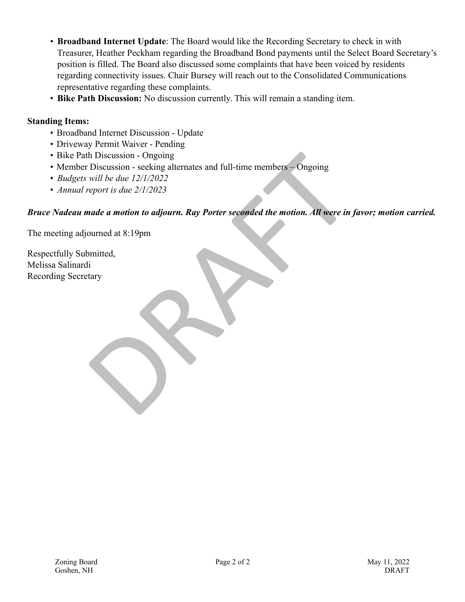- **Broadband Internet Update**: The Board would like the Recording Secretary to check in with Treasurer, Heather Peckham regarding the Broadband Bond payments until the Select Board Secretary's position is filled. The Board also discussed some complaints that have been voiced by residents regarding connectivity issues. Chair Bursey will reach out to the Consolidated Communications representative regarding these complaints.
- **Bike Path Discussion:** No discussion currently. This will remain a standing item.

# **Standing Items:**

- 
- 
- 
- Broadband Internet Discussion Update Driveway Permit Waiver Pending Bike Path Discussion Ongoing Member Discussion seeking alternates and full-time members Ongoing *Budgets will be due 12/1/2022*
- 
- *Annual report is due 2/1/2023*

# h Discussion - Ongoing<br>Discussion - seeking alternates and full-time members - Ongoing<br>will be due 12/1/2022<br>report is due 2/1/2023<br>nade a motion to adjourn. Ray Porter seconded the motion. All were in<br>pourned at 8:19pm<br>mi *Bruce Nadeau made a motion to adjourn. Ray Porter seconded the motion. All were in favor; motion carried.*

The meeting adjourned at 8:19pm

Respectfully Submitted, Melissa Salinardi Recording Secretary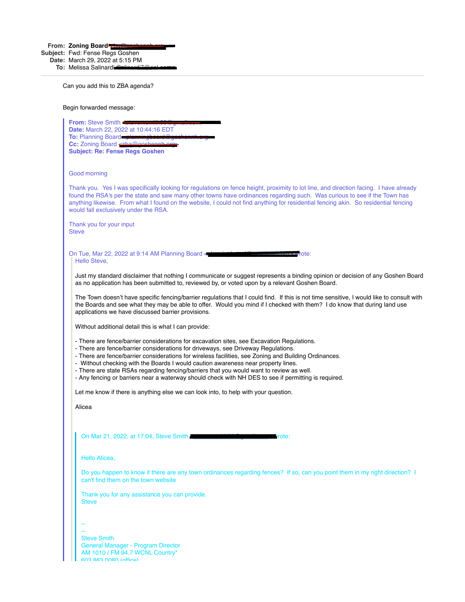**From: Zoning Board** zba@goshennh.org

**Subject:** Fwd: Fense Regs Goshen

**Date:** March 29, 2022 at 5:15 PM **To:** Melissa Salinardi Salinardi7@aol.com

Can you add this to ZBA agenda?

Begin forwarded message:

| From: Steve Smith                                                                                                                                                                                                                                                                                                                                                                                                                                                                                                                                                                 |
|-----------------------------------------------------------------------------------------------------------------------------------------------------------------------------------------------------------------------------------------------------------------------------------------------------------------------------------------------------------------------------------------------------------------------------------------------------------------------------------------------------------------------------------------------------------------------------------|
| Date: March 22, 2022 at 10:44:16 EDT<br>To: Planning Board                                                                                                                                                                                                                                                                                                                                                                                                                                                                                                                        |
| Cc: Zoning Board                                                                                                                                                                                                                                                                                                                                                                                                                                                                                                                                                                  |
| <b>Subject: Re: Fense Regs Goshen</b>                                                                                                                                                                                                                                                                                                                                                                                                                                                                                                                                             |
| Good morning                                                                                                                                                                                                                                                                                                                                                                                                                                                                                                                                                                      |
|                                                                                                                                                                                                                                                                                                                                                                                                                                                                                                                                                                                   |
| Thank you. Yes I was specifically looking for regulations on fence height, proximity to lot line, and direction facing. I have already<br>found the RSA's per the state and saw many other towns have ordinances regarding such. Was curious to see if the Town has<br>anything likewise. From what I found on the website, I could not find anything for residential fencing akin. So residential fencing<br>would fall exclusively under the RSA.                                                                                                                               |
| Thank you for your input<br><b>Steve</b>                                                                                                                                                                                                                                                                                                                                                                                                                                                                                                                                          |
|                                                                                                                                                                                                                                                                                                                                                                                                                                                                                                                                                                                   |
| On Tue, Mar 22, 2022 at 9:14 AM Planning Board <<br>rote:<br>Hello Steve,                                                                                                                                                                                                                                                                                                                                                                                                                                                                                                         |
|                                                                                                                                                                                                                                                                                                                                                                                                                                                                                                                                                                                   |
| Just my standard disclaimer that nothing I communicate or suggest represents a binding opinion or decision of any Goshen Board<br>as no application has been submitted to, reviewed by, or voted upon by a relevant Goshen Board.                                                                                                                                                                                                                                                                                                                                                 |
| The Town doesn't have specific fencing/barrier regulations that I could find. If this is not time sensitive, I would like to consult with<br>the Boards and see what they may be able to offer. Would you mind if I checked with them? I do know that during land use<br>applications we have discussed barrier provisions.                                                                                                                                                                                                                                                       |
|                                                                                                                                                                                                                                                                                                                                                                                                                                                                                                                                                                                   |
| Without additional detail this is what I can provide:                                                                                                                                                                                                                                                                                                                                                                                                                                                                                                                             |
| - There are fence/barrier considerations for excavation sites, see Excavation Regulations.<br>- There are fence/barrier considerations for driveways, see Driveway Regulations.<br>- There are fence/barrier considerations for wireless facilities, see Zoning and Building Ordinances.<br>- Without checking with the Boards I would caution awareness near property lines.<br>- There are state RSAs regarding fencing/barriers that you would want to review as well.<br>- Any fencing or barriers near a waterway should check with NH DES to see if permitting is required. |
|                                                                                                                                                                                                                                                                                                                                                                                                                                                                                                                                                                                   |
| Let me know if there is anything else we can look into, to help with your question.                                                                                                                                                                                                                                                                                                                                                                                                                                                                                               |
| Alicea                                                                                                                                                                                                                                                                                                                                                                                                                                                                                                                                                                            |
|                                                                                                                                                                                                                                                                                                                                                                                                                                                                                                                                                                                   |
|                                                                                                                                                                                                                                                                                                                                                                                                                                                                                                                                                                                   |
| On Mar 21, 2022, at 17:04, Steve Smith<br>rrote:                                                                                                                                                                                                                                                                                                                                                                                                                                                                                                                                  |
|                                                                                                                                                                                                                                                                                                                                                                                                                                                                                                                                                                                   |
| Hello Alicea,                                                                                                                                                                                                                                                                                                                                                                                                                                                                                                                                                                     |
| Do you happen to know if there are any town ordinances regarding fences? If so, can you point them in my right direction? I<br>can't find them on the town website                                                                                                                                                                                                                                                                                                                                                                                                                |
| Thank you for any assistance you can provide.                                                                                                                                                                                                                                                                                                                                                                                                                                                                                                                                     |
| <b>Steve</b>                                                                                                                                                                                                                                                                                                                                                                                                                                                                                                                                                                      |
|                                                                                                                                                                                                                                                                                                                                                                                                                                                                                                                                                                                   |
|                                                                                                                                                                                                                                                                                                                                                                                                                                                                                                                                                                                   |
|                                                                                                                                                                                                                                                                                                                                                                                                                                                                                                                                                                                   |
| <b>Steve Smith</b><br>General Manager - Program Director                                                                                                                                                                                                                                                                                                                                                                                                                                                                                                                          |
| AM 1010 / FM 94.7 WCNL Country*                                                                                                                                                                                                                                                                                                                                                                                                                                                                                                                                                   |
| <b>ANS RAS NORD (office)</b>                                                                                                                                                                                                                                                                                                                                                                                                                                                                                                                                                      |